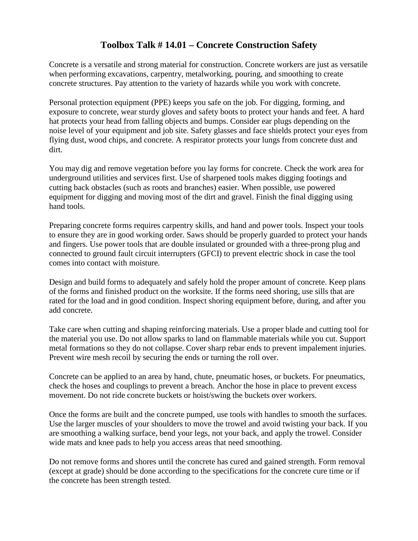## **Toolbox Talk # 14.01 – Concrete Construction Safety**

Concrete is a versatile and strong material for construction. Concrete workers are just as versatile when performing excavations, carpentry, metalworking, pouring, and smoothing to create concrete structures. Pay attention to the variety of hazards while you work with concrete.

Personal protection equipment (PPE) keeps you safe on the job. For digging, forming, and exposure to concrete, wear sturdy gloves and safety boots to protect your hands and feet. A hard hat protects your head from falling objects and bumps. Consider ear plugs depending on the noise level of your equipment and job site. Safety glasses and face shields protect your eyes from flying dust, wood chips, and concrete. A respirator protects your lungs from concrete dust and dirt.

You may dig and remove vegetation before you lay forms for concrete. Check the work area for underground utilities and services first. Use of sharpened tools makes digging footings and cutting back obstacles (such as roots and branches) easier. When possible, use powered equipment for digging and moving most of the dirt and gravel. Finish the final digging using hand tools.

Preparing concrete forms requires carpentry skills, and hand and power tools. Inspect your tools to ensure they are in good working order. Saws should be properly guarded to protect your hands and fingers. Use power tools that are double insulated or grounded with a three-prong plug and connected to ground fault circuit interrupters (GFCI) to prevent electric shock in case the tool comes into contact with moisture.

Design and build forms to adequately and safely hold the proper amount of concrete. Keep plans of the forms and finished product on the worksite. If the forms need shoring, use sills that are rated for the load and in good condition. Inspect shoring equipment before, during, and after you add concrete.

Take care when cutting and shaping reinforcing materials. Use a proper blade and cutting tool for the material you use. Do not allow sparks to land on flammable materials while you cut. Support metal formations so they do not collapse. Cover sharp rebar ends to prevent impalement injuries. Prevent wire mesh recoil by securing the ends or turning the roll over.

Concrete can be applied to an area by hand, chute, pneumatic hoses, or buckets. For pneumatics, check the hoses and couplings to prevent a breach. Anchor the hose in place to prevent excess movement. Do not ride concrete buckets or hoist/swing the buckets over workers.

Once the forms are built and the concrete pumped, use tools with handles to smooth the surfaces. Use the larger muscles of your shoulders to move the trowel and avoid twisting your back. If you are smoothing a walking surface, bend your legs, not your back, and apply the trowel. Consider wide mats and knee pads to help you access areas that need smoothing.

Do not remove forms and shores until the concrete has cured and gained strength. Form removal (except at grade) should be done according to the specifications for the concrete cure time or if the concrete has been strength tested.